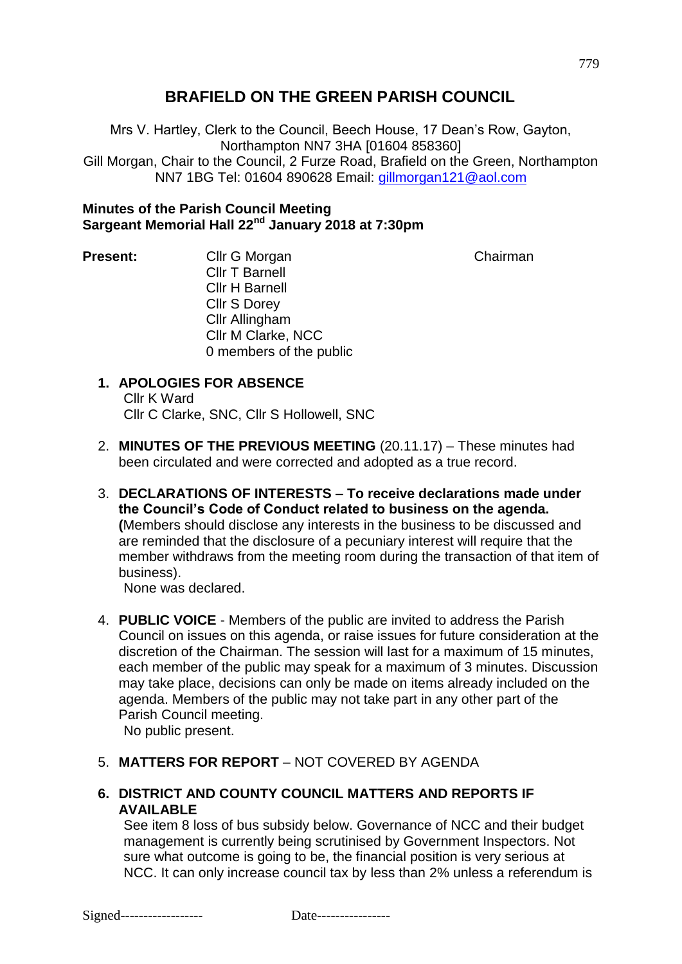# **BRAFIELD ON THE GREEN PARISH COUNCIL**

Mrs V. Hartley, Clerk to the Council, Beech House, 17 Dean's Row, Gayton, Northampton NN7 3HA [01604 858360] Gill Morgan, Chair to the Council, 2 Furze Road, Brafield on the Green, Northampton NN7 1BG Tel: 01604 890628 Email: [gillmorgan121@aol.com](mailto:gillmorgan121@aol.com)

## **Minutes of the Parish Council Meeting Sargeant Memorial Hall 22nd January 2018 at 7:30pm**

**Present:** Cllr G Morgan Chairman Chairman Cllr T Barnell Cllr H Barnell Cllr S Dorey Cllr Allingham Cllr M Clarke, NCC 0 members of the public

# **1. APOLOGIES FOR ABSENCE**

Cllr K Ward Cllr C Clarke, SNC, Cllr S Hollowell, SNC

- 2. **MINUTES OF THE PREVIOUS MEETING** (20.11.17) These minutes had been circulated and were corrected and adopted as a true record.
- 3. **DECLARATIONS OF INTERESTS To receive declarations made under the Council's Code of Conduct related to business on the agenda. (**Members should disclose any interests in the business to be discussed and are reminded that the disclosure of a pecuniary interest will require that the member withdraws from the meeting room during the transaction of that item of business).

None was declared.

4. **PUBLIC VOICE** - Members of the public are invited to address the Parish Council on issues on this agenda, or raise issues for future consideration at the discretion of the Chairman. The session will last for a maximum of 15 minutes, each member of the public may speak for a maximum of 3 minutes. Discussion may take place, decisions can only be made on items already included on the agenda. Members of the public may not take part in any other part of the Parish Council meeting.

No public present.

# 5. **MATTERS FOR REPORT** – NOT COVERED BY AGENDA

**6. DISTRICT AND COUNTY COUNCIL MATTERS AND REPORTS IF AVAILABLE**

See item 8 loss of bus subsidy below. Governance of NCC and their budget management is currently being scrutinised by Government Inspectors. Not sure what outcome is going to be, the financial position is very serious at NCC. It can only increase council tax by less than 2% unless a referendum is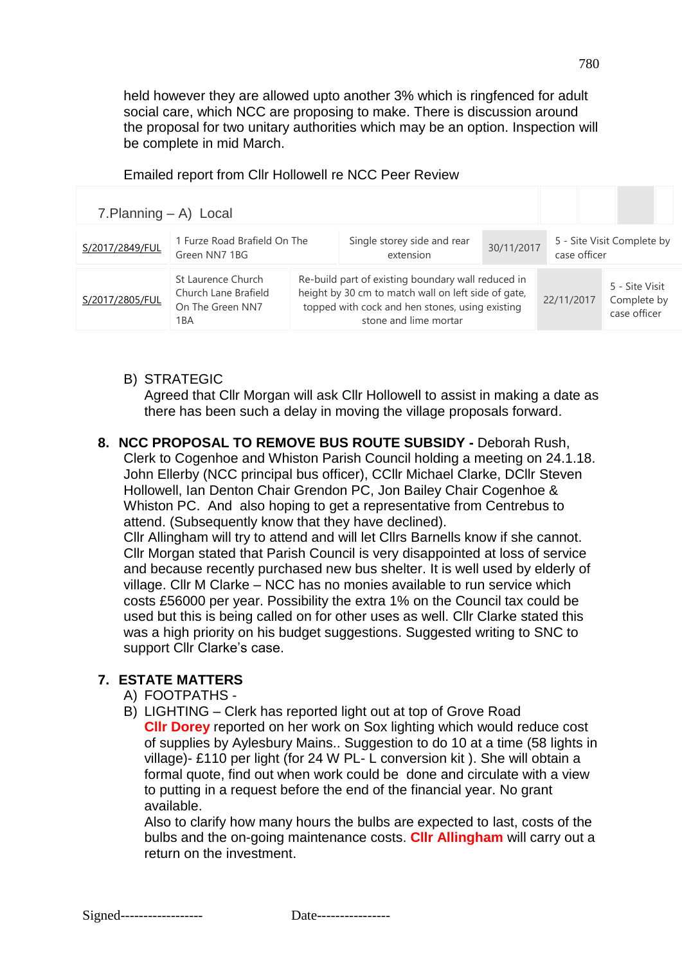held however they are allowed upto another 3% which is ringfenced for adult social care, which NCC are proposing to make. There is discussion around the proposal for two unitary authorities which may be an option. Inspection will be complete in mid March.

#### Emailed report from Cllr Hollowell re NCC Peer Review

| $7.$ Planning $-$ A) Local |                                                                       |                                                                                                                                                                                       |            |                                            |                                               |
|----------------------------|-----------------------------------------------------------------------|---------------------------------------------------------------------------------------------------------------------------------------------------------------------------------------|------------|--------------------------------------------|-----------------------------------------------|
| S/2017/2849/FUL            | 1 Furze Road Brafield On The<br>Green NN7 1BG                         | Single storey side and rear<br>extension                                                                                                                                              | 30/11/2017 | 5 - Site Visit Complete by<br>case officer |                                               |
| S/2017/2805/FUL            | St Laurence Church<br>Church Lane Brafield<br>On The Green NN7<br>1BA | Re-build part of existing boundary wall reduced in<br>height by 30 cm to match wall on left side of gate,<br>topped with cock and hen stones, using existing<br>stone and lime mortar |            | 22/11/2017                                 | 5 - Site Visit<br>Complete by<br>case officer |

#### B) STRATEGIC

Agreed that Cllr Morgan will ask Cllr Hollowell to assist in making a date as there has been such a delay in moving the village proposals forward.

#### **8. NCC PROPOSAL TO REMOVE BUS ROUTE SUBSIDY -** Deborah Rush, Clerk to Cogenhoe and Whiston Parish Council holding a meeting on 24.1.18. John Ellerby (NCC principal bus officer), CCllr Michael Clarke, DCllr Steven Hollowell, Ian Denton Chair Grendon PC, Jon Bailey Chair Cogenhoe & Whiston PC. And also hoping to get a representative from Centrebus to

attend. (Subsequently know that they have declined). Cllr Allingham will try to attend and will let Cllrs Barnells know if she cannot. Cllr Morgan stated that Parish Council is very disappointed at loss of service and because recently purchased new bus shelter. It is well used by elderly of village. Cllr M Clarke – NCC has no monies available to run service which costs £56000 per year. Possibility the extra 1% on the Council tax could be used but this is being called on for other uses as well. Cllr Clarke stated this was a high priority on his budget suggestions. Suggested writing to SNC to support Cllr Clarke's case.

#### **7. ESTATE MATTERS**

- A) FOOTPATHS -
- B) LIGHTING Clerk has reported light out at top of Grove Road **Cllr Dorey** reported on her work on Sox lighting which would reduce cost of supplies by Aylesbury Mains.. Suggestion to do 10 at a time (58 lights in village)- £110 per light (for 24 W PL- L conversion kit ). She will obtain a formal quote, find out when work could be done and circulate with a view to putting in a request before the end of the financial year. No grant available.

Also to clarify how many hours the bulbs are expected to last, costs of the bulbs and the on-going maintenance costs. **Cllr Allingham** will carry out a return on the investment.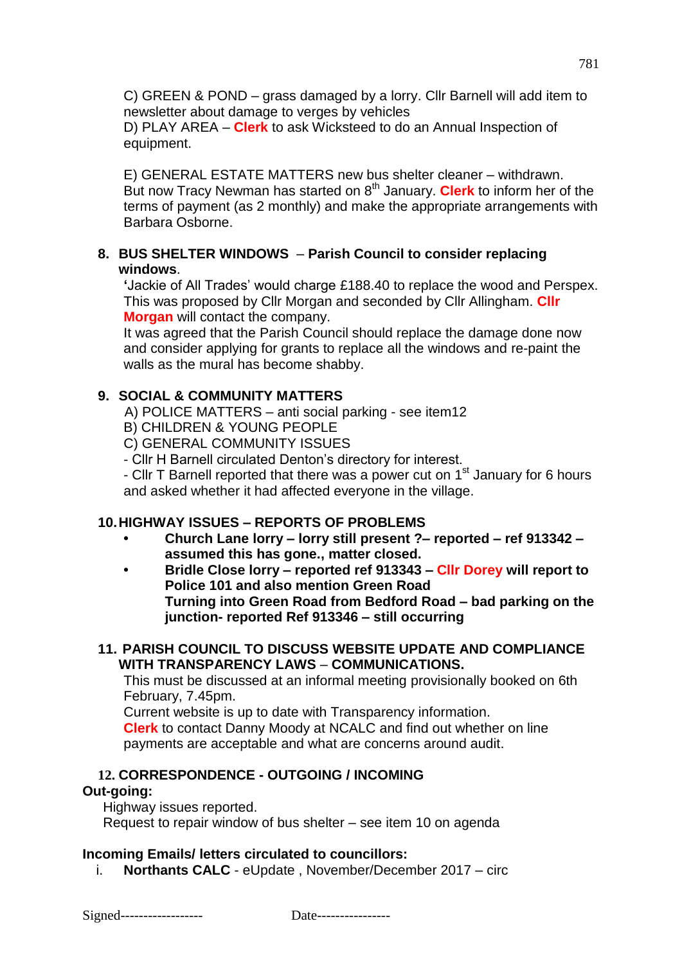C) GREEN & POND – grass damaged by a lorry. Cllr Barnell will add item to newsletter about damage to verges by vehicles

D) PLAY AREA – **Clerk** to ask Wicksteed to do an Annual Inspection of equipment.

E) GENERAL ESTATE MATTERS new bus shelter cleaner – withdrawn. But now Tracy Newman has started on 8th January. **Clerk** to inform her of the terms of payment (as 2 monthly) and make the appropriate arrangements with Barbara Osborne.

## **8. BUS SHELTER WINDOWS** – **Parish Council to consider replacing windows**.

**'**Jackie of All Trades' would charge £188.40 to replace the wood and Perspex. This was proposed by Cllr Morgan and seconded by Cllr Allingham. **Cllr Morgan** will contact the company.

It was agreed that the Parish Council should replace the damage done now and consider applying for grants to replace all the windows and re-paint the walls as the mural has become shabby.

# **9. SOCIAL & COMMUNITY MATTERS**

A) POLICE MATTERS – anti social parking - see item12

B) CHILDREN & YOUNG PEOPLE

C) GENERAL COMMUNITY ISSUES

- Cllr H Barnell circulated Denton's directory for interest.

- Cllr T Barnell reported that there was a power cut on  $1<sup>st</sup>$  January for 6 hours and asked whether it had affected everyone in the village.

# **10.HIGHWAY ISSUES – REPORTS OF PROBLEMS**

- **• Church Lane lorry – lorry still present ?– reported – ref 913342 – assumed this has gone., matter closed.**
- **• Bridle Close lorry – reported ref 913343 – Cllr Dorey will report to Police 101 and also mention Green Road Turning into Green Road from Bedford Road – bad parking on the junction- reported Ref 913346 – still occurring**

### **11. PARISH COUNCIL TO DISCUSS WEBSITE UPDATE AND COMPLIANCE WITH TRANSPARENCY LAWS** – **COMMUNICATIONS.**

This must be discussed at an informal meeting provisionally booked on 6th February, 7.45pm.

Current website is up to date with Transparency information.

**Clerk** to contact Danny Moody at NCALC and find out whether on line payments are acceptable and what are concerns around audit.

# **12. CORRESPONDENCE - OUTGOING / INCOMING**

## **Out-going:**

Highway issues reported.

Request to repair window of bus shelter – see item 10 on agenda

# **Incoming Emails/ letters circulated to councillors:**

i. **Northants CALC** - eUpdate , November/December 2017 – circ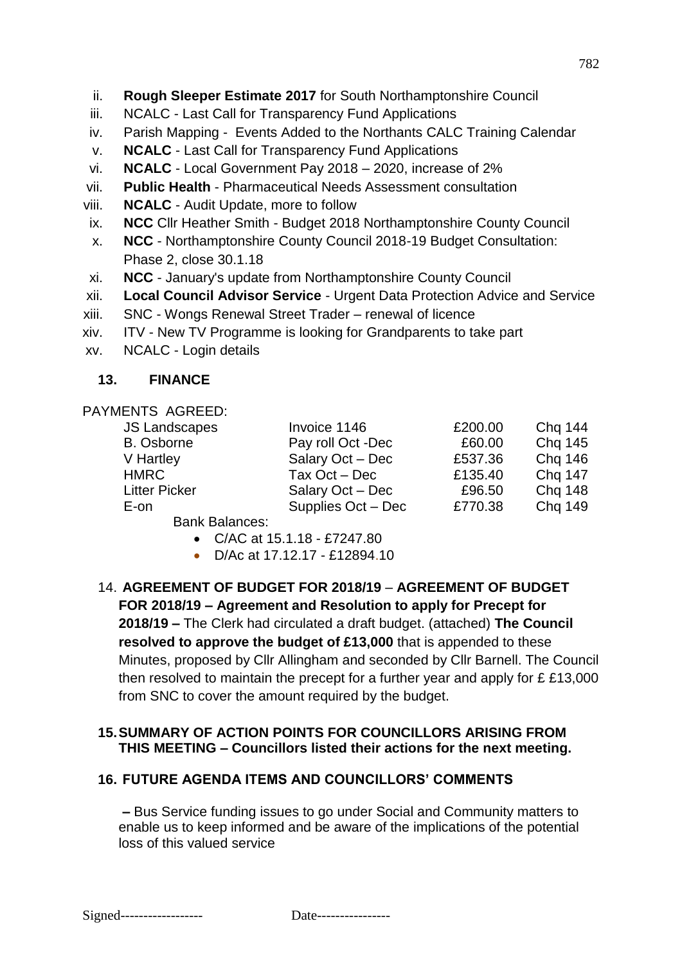- ii. **Rough Sleeper Estimate 2017** for South Northamptonshire Council
- iii. NCALC Last Call for Transparency Fund Applications
- iv. Parish Mapping Events Added to the Northants CALC Training Calendar
- v. **NCALC** Last Call for Transparency Fund Applications
- vi. **NCALC** Local Government Pay 2018 2020, increase of 2%
- vii. **Public Health** Pharmaceutical Needs Assessment consultation
- viii. **NCALC**  Audit Update, more to follow
- ix. **NCC** Cllr Heather Smith Budget 2018 Northamptonshire County Council
- x. **NCC** Northamptonshire County Council 2018-19 Budget Consultation: Phase 2, close 30.1.18
- xi. **NCC**  January's update from Northamptonshire County Council
- xii. **Local Council Advisor Service**  Urgent Data Protection Advice and Service
- xiii. SNC Wongs Renewal Street Trader renewal of licence
- xiv. ITV New TV Programme is looking for Grandparents to take part
- xv. NCALC Login details

# **13. FINANCE**

### PAYMENTS AGREED:

| <b>JS Landscapes</b> | Invoice 1146       | £200.00 | <b>Chg 144</b> |
|----------------------|--------------------|---------|----------------|
| <b>B.</b> Osborne    | Pay roll Oct -Dec  | £60.00  | Chq 145        |
| V Hartley            | Salary Oct - Dec   | £537.36 | <b>Chq 146</b> |
| <b>HMRC</b>          | Tax $Oct - Dec$    | £135.40 | Chq 147        |
| <b>Litter Picker</b> | Salary Oct - Dec   | £96.50  | <b>Chq 148</b> |
| E-on                 | Supplies Oct - Dec | £770.38 | Chq 149        |

Bank Balances:

- C/AC at 15.1.18 £7247.80
- D/Ac at 17.12.17 £12894.10
- 14. **AGREEMENT OF BUDGET FOR 2018/19 AGREEMENT OF BUDGET FOR 2018/19 – Agreement and Resolution to apply for Precept for 2018/19 –** The Clerk had circulated a draft budget. (attached) **The Council resolved to approve the budget of £13,000** that is appended to these Minutes, proposed by Cllr Allingham and seconded by Cllr Barnell. The Council then resolved to maintain the precept for a further year and apply for £ £13,000 from SNC to cover the amount required by the budget.

# **15.SUMMARY OF ACTION POINTS FOR COUNCILLORS ARISING FROM THIS MEETING – Councillors listed their actions for the next meeting.**

# **16. FUTURE AGENDA ITEMS AND COUNCILLORS' COMMENTS**

**–** Bus Service funding issues to go under Social and Community matters to enable us to keep informed and be aware of the implications of the potential loss of this valued service

782